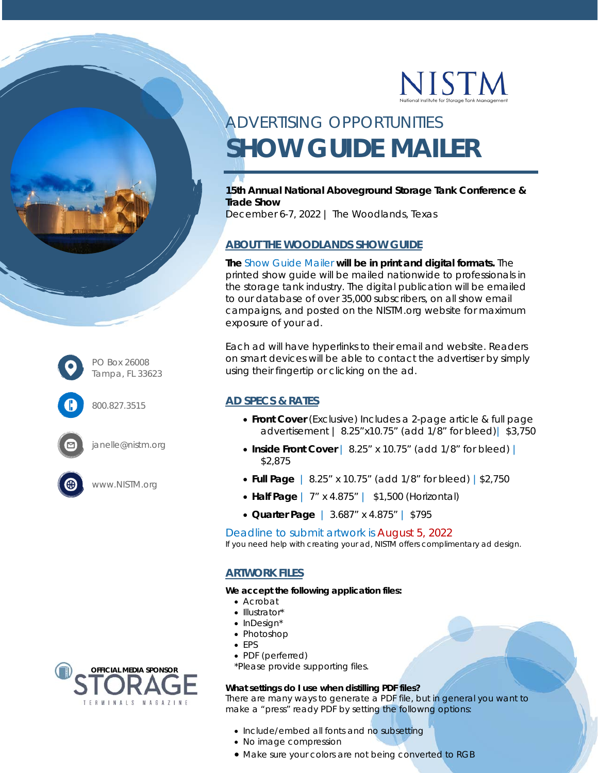

# ADVERTISING OPPORTUNITIES **SHOW GUIDE MAILER**

**15th Annual National Aboveground Storage Tank Conference & Trade Show** 

December 6-7, 2022 | The Woodlands, Texas

## **ABOUT THE WOODLANDS SHOW GUIDE**

**The** Show Guide Mailer **will be in print and digital formats.** The printed show guide will be mailed nationwide to professionals in the storage tank industry. The digital publication will be emailed to our database of over 35,000 subscribers, on all show email campaigns, and posted on the NISTM.org website for maximum exposure of your ad.

Each ad will have hyperlinks to their email and website. Readers on smart devices will be able to contact the advertiser by simply using their fingertip or clicking on the ad.

### **AD SPECS & RATES**

- **Front Cover** (Exclusive) *Includes a 2-page article & full page advertisement |* 8.25"x10.75" (add 1/8" for bleed)| \$3,750
- Inside Front Cover | 8.25" x 10.75" (add 1/8" for bleed) | \$2,875
- **Full Page** | 8.25" x 10.75" (add 1/8" for bleed) |\$2,750
- **Half Page** | 7" x 4.875" | \$1,500 (Horizontal)
- **Quarter Page** | 3.687" x 4.875" | \$795

Deadline to submit artwork is August 5, 2022

*If you need help with creating your ad, NISTM offers complimentary ad design.* 

### **ARTWORK FILES**

**We accept the following application files:** 

- Acrobat
- Illustrator\*
- InDesign\*
- Photoshop
- EPS
- PDF (perferred)

\*Please provide supporting files.

#### **What settings do I use when distilling PDF files?**

There are many ways to generate a PDF file, but in general you want to make a "press" ready PDF by setting the followng options:

- Include/embed all fonts and no subsetting
- No image compression
- Make sure your colors are not being converted to RGB



PO Box 26008 Tampa, FL 33623

800.827.3515

janelle@nistm.org

www.NISTM.org